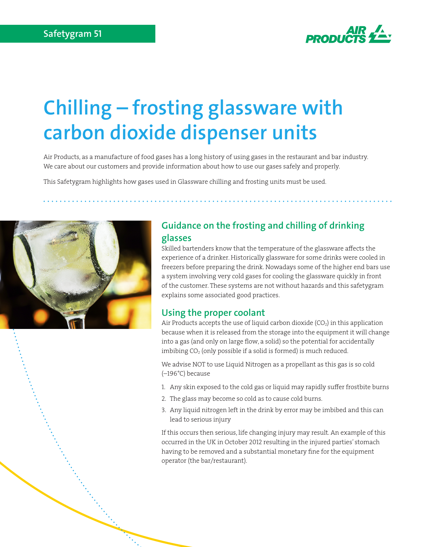

# **Chilling – frosting glassware with carbon dioxide dispenser units**

Air Products, as a manufacture of food gases has a long history of using gases in the restaurant and bar industry. We care about our customers and provide information about how to use our gases safely and properly.

This Safetygram highlights how gases used in Glassware chilling and frosting units must be used.



## **Guidance on the frosting and chilling of drinking glasses**

Skilled bartenders know that the temperature of the glassware affects the experience of a drinker. Historically glassware for some drinks were cooled in freezers before preparing the drink. Nowadays some of the higher end bars use a system involving very cold gases for cooling the glassware quickly in front of the customer. These systems are not without hazards and this safetygram explains some associated good practices.

## **Using the proper coolant**

Air Products accepts the use of liquid carbon dioxide  $(CO<sub>2</sub>)$  in this application because when it is released from the storage into the equipment it will change into a gas (and only on large flow, a solid) so the potential for accidentally imbibing  $CO<sub>2</sub>$  (only possible if a solid is formed) is much reduced.

We advise NOT to use Liquid Nitrogen as a propellant as this gas is so cold (–196°C) because

- 1. Any skin exposed to the cold gas or liquid may rapidly suffer frostbite burns
- 2. The glass may become so cold as to cause cold burns.
- 3. Any liquid nitrogen left in the drink by error may be imbibed and this can lead to serious injury

If this occurs then serious, life changing injury may result. An example of this occurred in the UK in October 2012 resulting in the injured parties' stomach having to be removed and a substantial monetary fine for the equipment operator (the bar/restaurant).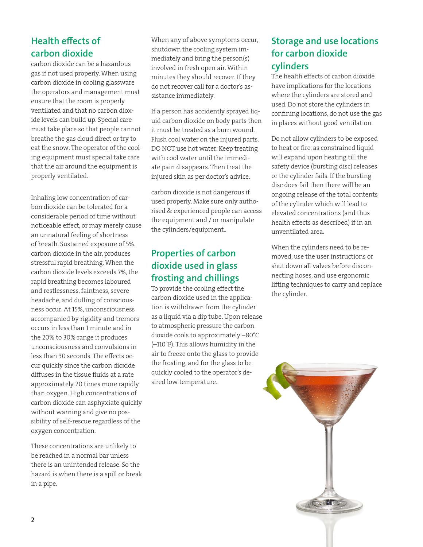# **Health effects of carbon dioxide**

carbon dioxide can be a hazardous gas if not used properly. When using carbon dioxide in cooling glassware the operators and management must ensure that the room is properly ventilated and that no carbon dioxide levels can build up. Special care must take place so that people cannot breathe the gas cloud direct or try to eat the snow. The operator of the cooling equipment must special take care that the air around the equipment is properly ventilated.

Inhaling low concentration of carbon dioxide can be tolerated for a considerable period of time without noticeable effect, or may merely cause an unnatural feeling of shortness of breath. Sustained exposure of 5%. carbon dioxide in the air, produces stressful rapid breathing. When the carbon dioxide levels exceeds 7%, the rapid breathing becomes laboured and restlessness, faintness, severe headache, and dulling of consciousness occur. At 15%, unconsciousness accompanied by rigidity and tremors occurs in less than 1 minute and in the 20% to 30% range it produces unconsciousness and convulsions in less than 30 seconds. The effects occur quickly since the carbon dioxide diffuses in the tissue fluids at a rate approximately 20 times more rapidly than oxygen. High concentrations of carbon dioxide can asphyxiate quickly without warning and give no possibility of self-rescue regardless of the oxygen concentration.

These concentrations are unlikely to be reached in a normal bar unless there is an unintended release. So the hazard is when there is a spill or break in a pipe.

When any of above symptoms occur, shutdown the cooling system immediately and bring the person(s) involved in fresh open air. Within minutes they should recover. If they do not recover call for a doctor's assistance immediately.

If a person has accidently sprayed liquid carbon dioxide on body parts then it must be treated as a burn wound. Flush cool water on the injured parts. DO NOT use hot water. Keep treating with cool water until the immediate pain disappears. Then treat the injured skin as per doctor's advice.

carbon dioxide is not dangerous if used properly. Make sure only authorised & experienced people can access the equipment and / or manipulate the cylinders/equipment..

# **Properties of carbon dioxide used in glass frosting and chillings**

To provide the cooling effect the carbon dioxide used in the application is withdrawn from the cylinder as a liquid via a dip tube. Upon release to atmospheric pressure the carbon dioxide cools to approximately –80°C (–110°F). This allows humidity in the air to freeze onto the glass to provide the frosting, and for the glass to be quickly cooled to the operator's desired low temperature.

# **Storage and use locations for carbon dioxide cylinders**

The health effects of carbon dioxide have implications for the locations where the cylinders are stored and used. Do not store the cylinders in confining locations, do not use the gas in places without good ventilation.

Do not allow cylinders to be exposed to heat or fire, as constrained liquid will expand upon heating till the safety device (bursting disc) releases or the cylinder fails. If the bursting disc does fail then there will be an ongoing release of the total contents of the cylinder which will lead to elevated concentrations (and thus health effects as described) if in an unventilated area.

When the cylinders need to be removed, use the user instructions or shut down all valves before disconnecting hoses, and use ergonomic lifting techniques to carry and replace the cylinder.

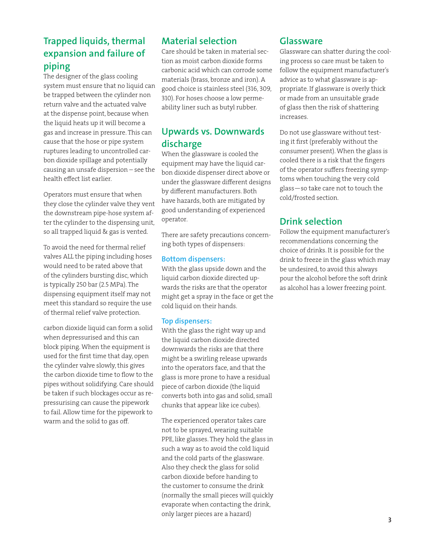# **Trapped liquids, thermal expansion and failure of piping**

The designer of the glass cooling system must ensure that no liquid can be trapped between the cylinder non return valve and the actuated valve at the dispense point, because when the liquid heats up it will become a gas and increase in pressure. This can cause that the hose or pipe system ruptures leading to uncontrolled carbon dioxide spillage and potentially causing an unsafe dispersion – see the health effect list earlier.

Operators must ensure that when they close the cylinder valve they vent the downstream pipe-hose system after the cylinder to the dispensing unit, so all trapped liquid & gas is vented.

To avoid the need for thermal relief valves ALL the piping including hoses would need to be rated above that of the cylinders bursting disc, which is typically 250 bar (2.5 MPa). The dispensing equipment itself may not meet this standard so require the use of thermal relief valve protection.

carbon dioxide liquid can form a solid when depressurised and this can block piping. When the equipment is used for the first time that day, open the cylinder valve slowly, this gives the carbon dioxide time to flow to the pipes without solidifying. Care should be taken if such blockages occur as repressurising can cause the pipework to fail. Allow time for the pipework to warm and the solid to gas off.

## **Material selection**

Care should be taken in material section as moist carbon dioxide forms carbonic acid which can corrode some materials (brass, bronze and iron). A good choice is stainless steel (316, 309, 310). For hoses choose a low permeability liner such as butyl rubber.

## **Upwards vs. Downwards discharge**

When the glassware is cooled the equipment may have the liquid carbon dioxide dispenser direct above or under the glassware different designs by different manufacturers. Both have hazards, both are mitigated by good understanding of experienced operator.

There are safety precautions concerning both types of dispensers:

## **Bottom dispensers:**

With the glass upside down and the liquid carbon dioxide directed upwards the risks are that the operator might get a spray in the face or get the cold liquid on their hands.

## **Top dispensers:**

With the glass the right way up and the liquid carbon dioxide directed downwards the risks are that there might be a swirling release upwards into the operators face, and that the glass is more prone to have a residual piece of carbon dioxide (the liquid converts both into gas and solid, small chunks that appear like ice cubes).

The experienced operator takes care not to be sprayed, wearing suitable PPE, like glasses. They hold the glass in such a way as to avoid the cold liquid and the cold parts of the glassware. Also they check the glass for solid carbon dioxide before handing to the customer to consume the drink (normally the small pieces will quickly evaporate when contacting the drink, only larger pieces are a hazard)

## **Glassware**

Glassware can shatter during the cooling process so care must be taken to follow the equipment manufacturer's advice as to what glassware is appropriate. If glassware is overly thick or made from an unsuitable grade of glass then the risk of shattering increases.

Do not use glassware without testing it first (preferably without the consumer present). When the glass is cooled there is a risk that the fingers of the operator suffers freezing symptoms when touching the very cold glass—so take care not to touch the cold/frosted section.

## **Drink selection**

Follow the equipment manufacturer's recommendations concerning the choice of drinks. It is possible for the drink to freeze in the glass which may be undesired, to avoid this always pour the alcohol before the soft drink as alcohol has a lower freezing point.